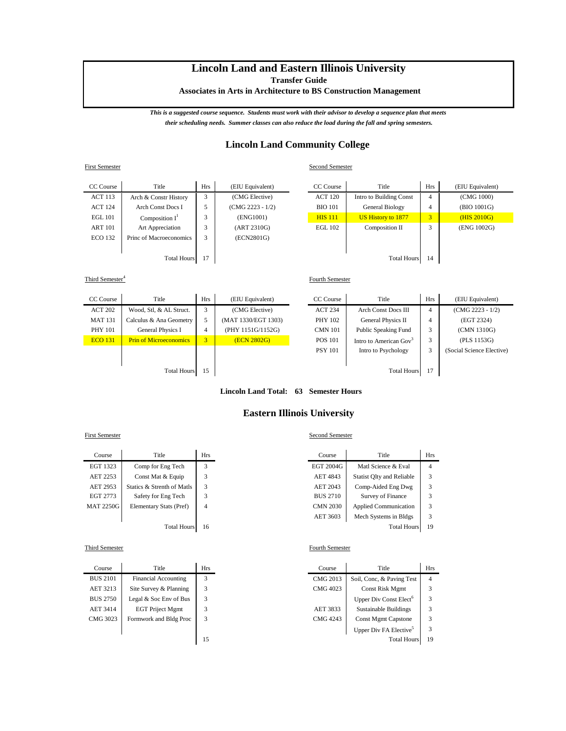# **Lincoln Land and Eastern Illinois University**

**Transfer Guide**

 **Associates in Arts in Architecture to BS Construction Management**

*This is a suggested course sequence. Students must work with their advisor to develop a sequence plan that meets their scheduling needs. Summer classes can also reduce the load during the fall and spring semesters.*

## **Lincoln Land Community College**

Second Semester

Fourth Semester

| <b>First Semester</b> |
|-----------------------|
|                       |

| CC Course          | Title                   | <b>Hrs</b> | (EIU Equivalent)   | CC Course      | Title                   | <b>Hrs</b> | (EIU Equivalent) |
|--------------------|-------------------------|------------|--------------------|----------------|-------------------------|------------|------------------|
| <b>ACT 113</b>     | Arch & Constr History   | 3          | (CMG Elective)     | <b>ACT 120</b> | Intro to Building Const | 4          | (CMG 1000)       |
| <b>ACT 124</b>     | Arch Const Docs I       |            | $(CMG 2223 - 1/2)$ | <b>BIO</b> 101 | General Biology         | 4          | (BIO 1001G)      |
| <b>EGL 101</b>     | Composition $I^1$       |            | (ENG1001)          | <b>HIS 111</b> | US History to 1877      | 3          | (HIS 2010G)      |
| <b>ART 101</b>     | Art Appreciation        |            | (ART 2310G)        | <b>EGL 102</b> | Composition II          |            | (ENG 1002G)      |
| <b>ECO 132</b>     | Princ of Macroeconomics | 3          | (ECN2801G)         |                |                         |            |                  |
|                    |                         |            |                    |                |                         |            |                  |
| <b>Total Hours</b> |                         |            |                    |                | <b>Total Hours</b>      | 14         |                  |

### Third Semester<sup>4</sup>

| CC Course                | Title                         | <b>Hrs</b> | (EIU Equivalent)    | CC Course      | Title                              | <b>Hrs</b>     | (EIU Equivalent)          |
|--------------------------|-------------------------------|------------|---------------------|----------------|------------------------------------|----------------|---------------------------|
| <b>ACT 202</b>           | Wood, Stl, & AL Struct.       | 3          | (CMG Elective)      | <b>ACT 234</b> | <b>Arch Const Docs III</b>         | $\overline{4}$ | $(CMG 2223 - 1/2)$        |
| <b>MAT 131</b>           | Calculus & Ana Geometry       |            | (MAT 1330/EGT 1303) | PHY 102        | General Physics II                 | 4              | (EGT 2324)                |
| <b>PHY 101</b>           | General Physics I             | 4          | (PHY 1151G/1152G)   | <b>CMN 101</b> | Public Speaking Fund               | 3              | (CMN 1310G)               |
| <b>ECO 131</b>           | <b>Prin of Microeconomics</b> | 3          | (ECN 2802G)         | <b>POS 101</b> | Intro to American Gov <sup>3</sup> | 3              | (PLS 1153G)               |
|                          |                               |            |                     | <b>PSY 101</b> | Intro to Psychology                | 3              | (Social Science Elective) |
|                          |                               |            |                     |                |                                    |                |                           |
| 15<br><b>Total Hours</b> |                               |            |                     |                | <b>Total Hours</b>                 | 17             |                           |

**Lincoln Land Total: 63 Semester Hours**

## **Eastern Illinois University**

#### First Semester Second Semester

| Course           | Title                      | <b>Hrs</b> | Course          | Title                            | Hı |
|------------------|----------------------------|------------|-----------------|----------------------------------|----|
| EGT 1323         | Comp for Eng Tech          | 3          | EGT 2004G       | Matl Science & Eval              | 4  |
| AET 2253         | Const Mat & Equip          | 3          | AET 4843        | <b>Statist Olty and Reliable</b> | 3  |
| AET 2953         | Statics & Strenth of Matls | 3          | AET 2043        | Comp-Aided Eng Dwg               | 3  |
| EGT 2773         | Safety for Eng Tech        | 3          | <b>BUS 2710</b> | Survey of Finance                | 3  |
| <b>MAT 2250G</b> | Elementary Stats (Pref)    | 4          | <b>CMN 2030</b> | <b>Applied Communication</b>     | 3  |
|                  |                            |            | AET 3603        | Mech Systems in Bldgs            | 3  |
|                  | <b>Total Hours</b>         | 16         |                 | <b>Total Hours</b>               | 19 |

| Course          | Title                       | <b>Hrs</b> | Course   | Title                              | Hı             |
|-----------------|-----------------------------|------------|----------|------------------------------------|----------------|
| <b>BUS 2101</b> | <b>Financial Accounting</b> |            | CMG 2013 | Soil, Conc. & Paving Test          | $\overline{4}$ |
| AET 3213        | Site Survey & Planning      | 3          | CMG 4023 | Const Risk Mgmt                    | 3              |
| <b>BUS 2750</b> | Legal & Soc Env of Bus      | 3          |          | Upper Div Const Elect <sup>o</sup> | 3              |
| AET 3414        | <b>EGT</b> Priject Mgmt     | 3          | AET 3833 | <b>Sustainable Buildings</b>       | 3              |
| CMG 3023        | Formwork and Bldg Proc      | 3          | CMG 4243 | <b>Const Mgmt Capstone</b>         | 3              |
|                 |                             |            |          | Upper Div FA Elective <sup>5</sup> | 3              |
|                 |                             | 15         |          | <b>Total Hours</b>                 | 19             |

| Course          | Title                      | Hrs | Course          | Title                            | <b>Hrs</b> |
|-----------------|----------------------------|-----|-----------------|----------------------------------|------------|
| GT 1323         | Comp for Eng Tech          |     | EGT 2004G       | Matl Science & Eval              | 4          |
| ET 2253         | Const Mat & Equip          |     | <b>AET 4843</b> | <b>Statist Olty and Reliable</b> |            |
| ET 2953         | Statics & Strenth of Matls |     | <b>AET 2043</b> | Comp-Aided Eng Dwg               |            |
| GT 2773         | Safety for Eng Tech        |     | <b>BUS 2710</b> | Survey of Finance                |            |
| <b>AT 2250G</b> | Elementary Stats (Pref)    | 4   | <b>CMN 2030</b> | <b>Applied Communication</b>     |            |
|                 |                            |     | AET 3603        | Mech Systems in Bldgs            |            |
|                 | <b>Total Hours</b>         | 16  |                 | <b>Total Hours</b>               | 19         |

#### Third Semester Fourth Semester

| Course          | Title                       | <b>Hrs</b> | Course   | Title                              | <b>Hrs</b> |
|-----------------|-----------------------------|------------|----------|------------------------------------|------------|
| <b>BUS 2101</b> | <b>Financial Accounting</b> | 3          | CMG 2013 | Soil, Conc. & Paving Test          | 4          |
| AET 3213        | Site Survey & Planning      | 3          | CMG 4023 | Const Risk Mgmt                    |            |
| BUS 2750        | Legal & Soc Env of Bus      | 3          |          | Upper Div Const Elect <sup>6</sup> |            |
| AET 3414        | <b>EGT</b> Priject Mgmt     | 3          | AET 3833 | Sustainable Buildings              |            |
| CMG 3023        | Formwork and Bldg Proc      | 3          | CMG 4243 | <b>Const Mgmt Capstone</b>         |            |
|                 |                             |            |          | Upper Div FA Elective <sup>5</sup> |            |
|                 |                             | 15         |          | <b>Total Hours</b>                 | 19         |
|                 |                             |            |          |                                    |            |